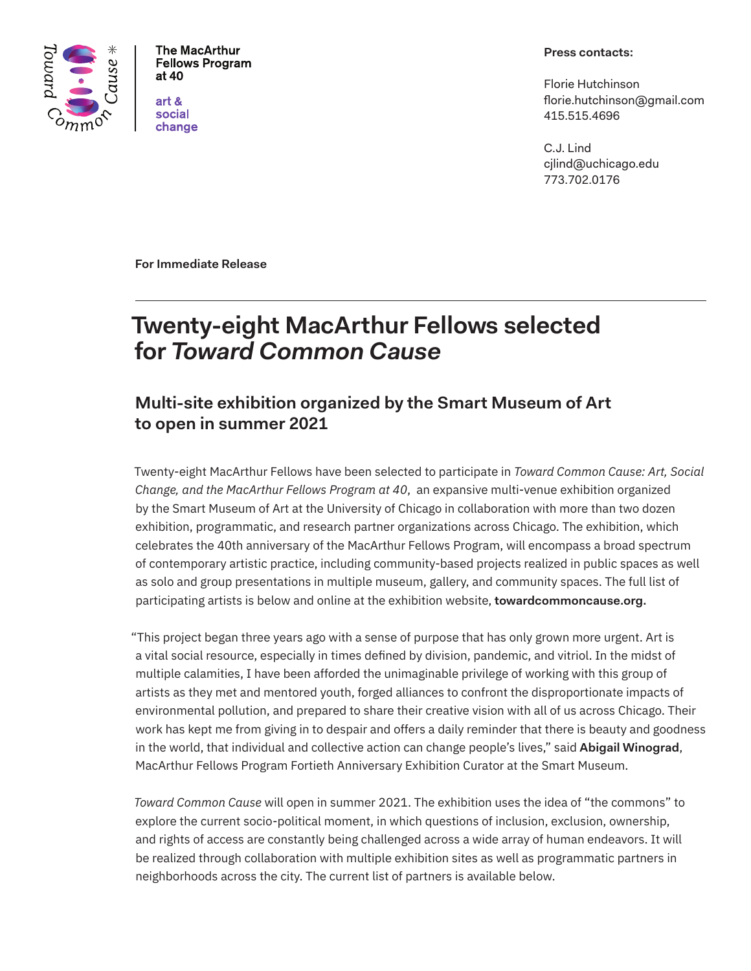

**The MacArthur Fellows Program** at 40

art & social change

#### **Press contacts:**

Florie Hutchinson florie.hutchinson@gmail.com 415.515.4696

C.J. Lind cjlind@uchicago.edu 773.702.0176

**For Immediate Release**

# **Twenty-eight MacArthur Fellows selected for** *Toward Common Cause*

# **Multi-site exhibition organized by the Smart Museum of Art to open in summer 2021**

Twenty-eight MacArthur Fellows have been selected to participate in *Toward Common Cause: Art, Social Change, and the MacArthur Fellows Program at 40*, an expansive multi-venue exhibition organized by the Smart Museum of Art at the University of Chicago in collaboration with more than two dozen exhibition, programmatic, and research partner organizations across Chicago. The exhibition, which celebrates the 40th anniversary of the MacArthur Fellows Program, will encompass a broad spectrum of contemporary artistic practice, including community-based projects realized in public spaces as well as solo and group presentations in multiple museum, gallery, and community spaces. The full list of participating artists is below and online at the exhibition website, **towardcommoncause.org.** 

"This project began three years ago with a sense of purpose that has only grown more urgent. Art is a vital social resource, especially in times defined by division, pandemic, and vitriol. In the midst of multiple calamities, I have been afforded the unimaginable privilege of working with this group of artists as they met and mentored youth, forged alliances to confront the disproportionate impacts of environmental pollution, and prepared to share their creative vision with all of us across Chicago. Their work has kept me from giving in to despair and offers a daily reminder that there is beauty and goodness in the world, that individual and collective action can change people's lives," said **Abigail Winograd**, MacArthur Fellows Program Fortieth Anniversary Exhibition Curator at the Smart Museum.

*Toward Common Cause* will open in summer 2021. The exhibition uses the idea of "the commons" to explore the current socio-political moment, in which questions of inclusion, exclusion, ownership, and rights of access are constantly being challenged across a wide array of human endeavors. It will be realized through collaboration with multiple exhibition sites as well as programmatic partners in neighborhoods across the city. The current list of partners is available below.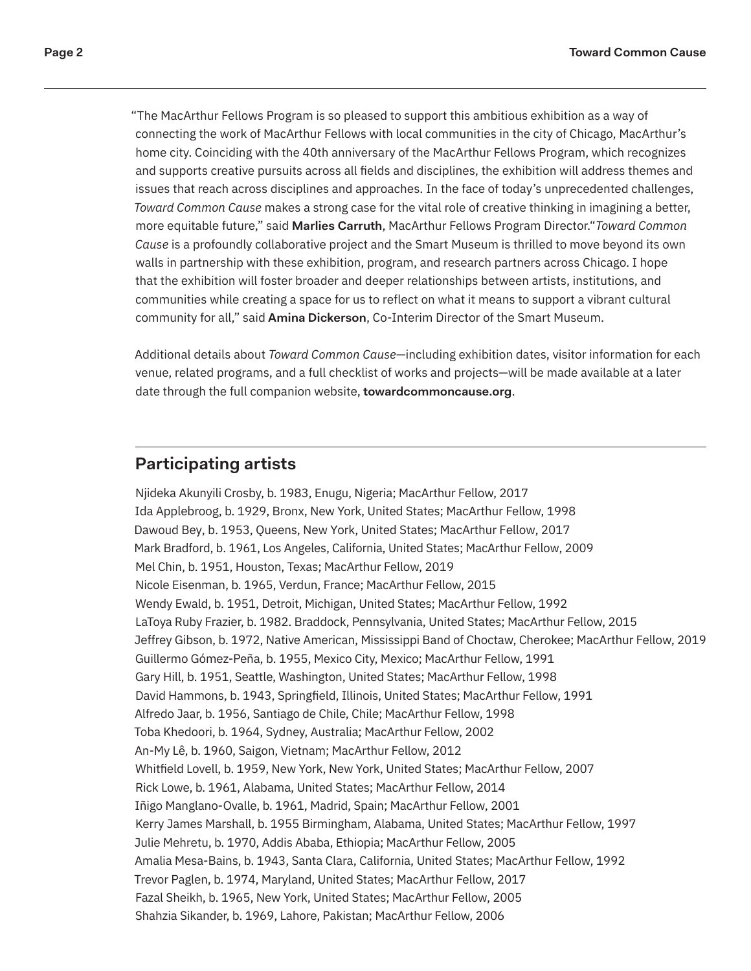"The MacArthur Fellows Program is so pleased to support this ambitious exhibition as a way of connecting the work of MacArthur Fellows with local communities in the city of Chicago, MacArthur's home city. Coinciding with the 40th anniversary of the MacArthur Fellows Program, which recognizes and supports creative pursuits across all fields and disciplines, the exhibition will address themes and issues that reach across disciplines and approaches. In the face of today's unprecedented challenges, *Toward Common Cause* makes a strong case for the vital role of creative thinking in imagining a better, more equitable future," said **Marlies Carruth**, MacArthur Fellows Program Director."*Toward Common Cause* is a profoundly collaborative project and the Smart Museum is thrilled to move beyond its own walls in partnership with these exhibition, program, and research partners across Chicago. I hope that the exhibition will foster broader and deeper relationships between artists, institutions, and communities while creating a space for us to reflect on what it means to support a vibrant cultural community for all," said **Amina Dickerson**, Co-Interim Director of the Smart Museum.

Additional details about *Toward Common Cause*—including exhibition dates, visitor information for each venue, related programs, and a full checklist of works and projects—will be made available at a later date through the full companion website, **towardcommoncause.org**.

# **Participating artists**

Njideka Akunyili Crosby, b. 1983, Enugu, Nigeria; MacArthur Fellow, 2017 Ida Applebroog, b. 1929, Bronx, New York, United States; MacArthur Fellow, 1998 Dawoud Bey, b. 1953, Queens, New York, United States; MacArthur Fellow, 2017 Mark Bradford, b. 1961, Los Angeles, California, United States; MacArthur Fellow, 2009 Mel Chin, b. 1951, Houston, Texas; MacArthur Fellow, 2019 Nicole Eisenman, b. 1965, Verdun, France; MacArthur Fellow, 2015 Wendy Ewald, b. 1951, Detroit, Michigan, United States; MacArthur Fellow, 1992 LaToya Ruby Frazier, b. 1982. Braddock, Pennsylvania, United States; MacArthur Fellow, 2015 Jeffrey Gibson, b. 1972, Native American, Mississippi Band of Choctaw, Cherokee; MacArthur Fellow, 2019 Guillermo Gómez-Peña, b. 1955, Mexico City, Mexico; MacArthur Fellow, 1991 Gary Hill, b. 1951, Seattle, Washington, United States; MacArthur Fellow, 1998 David Hammons, b. 1943, Springfield, Illinois, United States; MacArthur Fellow, 1991 Alfredo Jaar, b. 1956, Santiago de Chile, Chile; MacArthur Fellow, 1998 Toba Khedoori, b. 1964, Sydney, Australia; MacArthur Fellow, 2002 An-My Lê, b. 1960, Saigon, Vietnam; MacArthur Fellow, 2012 Whitfield Lovell, b. 1959, New York, New York, United States; MacArthur Fellow, 2007 Rick Lowe, b. 1961, Alabama, United States; MacArthur Fellow, 2014 Iñigo Manglano-Ovalle, b. 1961, Madrid, Spain; MacArthur Fellow, 2001 Kerry James Marshall, b. 1955 Birmingham, Alabama, United States; MacArthur Fellow, 1997 Julie Mehretu, b. 1970, Addis Ababa, Ethiopia; MacArthur Fellow, 2005 Amalia Mesa-Bains, b. 1943, Santa Clara, California, United States; MacArthur Fellow, 1992 Trevor Paglen, b. 1974, Maryland, United States; MacArthur Fellow, 2017 Fazal Sheikh, b. 1965, New York, United States; MacArthur Fellow, 2005 Shahzia Sikander, b. 1969, Lahore, Pakistan; MacArthur Fellow, 2006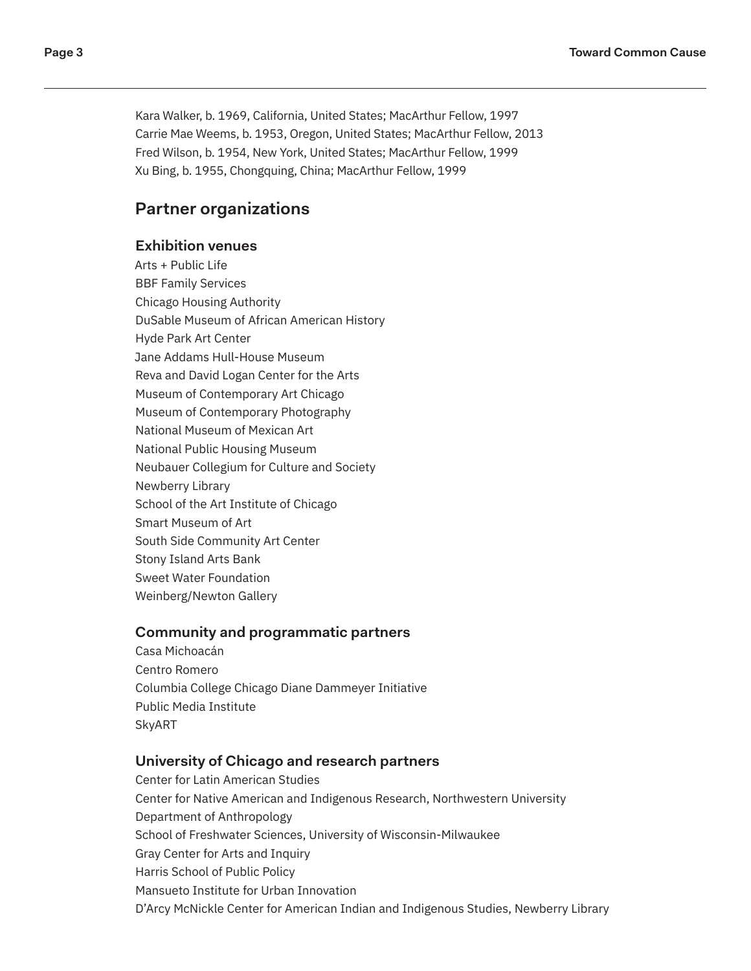Kara Walker, b. 1969, California, United States; MacArthur Fellow, 1997 Carrie Mae Weems, b. 1953, Oregon, United States; MacArthur Fellow, 2013 Fred Wilson, b. 1954, New York, United States; MacArthur Fellow, 1999 Xu Bing, b. 1955, Chongquing, China; MacArthur Fellow, 1999

# **Partner organizations**

#### **Exhibition venues**

Arts + Public Life BBF Family Services Chicago Housing Authority DuSable Museum of African American History Hyde Park Art Center Jane Addams Hull-House Museum Reva and David Logan Center for the Arts Museum of Contemporary Art Chicago Museum of Contemporary Photography National Museum of Mexican Art National Public Housing Museum Neubauer Collegium for Culture and Society Newberry Library School of the Art Institute of Chicago Smart Museum of Art South Side Community Art Center Stony Island Arts Bank Sweet Water Foundation Weinberg/Newton Gallery

#### **Community and programmatic partners**

Casa Michoacán Centro Romero Columbia College Chicago Diane Dammeyer Initiative Public Media Institute SkyART

#### **University of Chicago and research partners**

Center for Latin American Studies Center for Native American and Indigenous Research, Northwestern University Department of Anthropology School of Freshwater Sciences, University of Wisconsin-Milwaukee Gray Center for Arts and Inquiry Harris School of Public Policy Mansueto Institute for Urban Innovation D'Arcy McNickle Center for American Indian and Indigenous Studies, Newberry Library